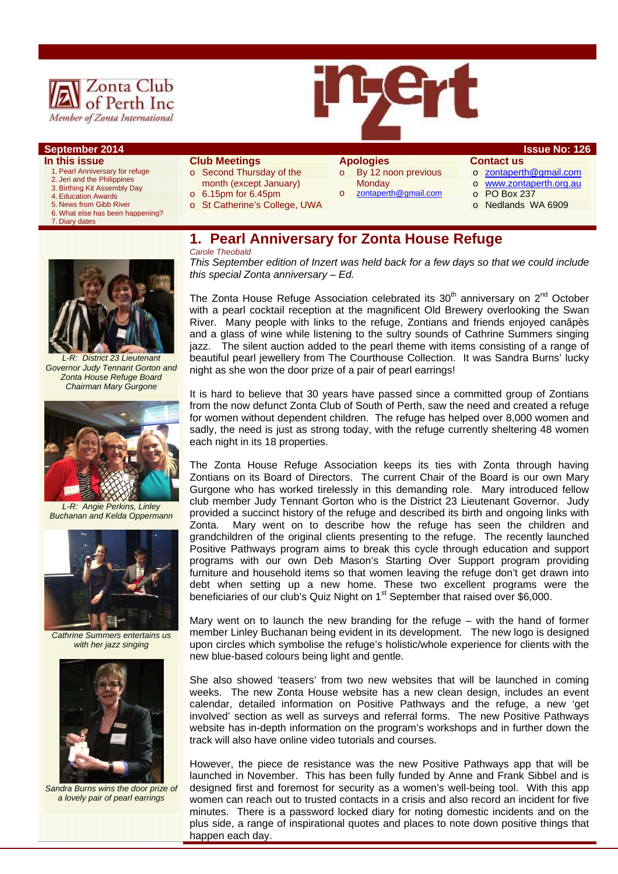

### **September 2014 ISSUE NO: 126**

#### **In this issue**

- 1. Pearl Anniversary for refuge
- 2. Jeri and the Philippines 3. Birthing Kit Assembly Day
- 4. Education Awards
- 5. News from Gibb River
- 6. What else has been happening?
- 7. Diary dates
- **Club Meetings**
- o Second Thursday of the month (except January)
- o 6.15pm for 6.45pm
- 
- o St Catherine's College, UWA
- **Apologies**  o By 12 noon previous

zontaperth@gmail.com

**Monday** 

## **Contact us**

- o zontaperth@gmail.com
- o www.zontaperth.org.au
- o PO Box 237
- o Nedlands WA 6909

# **1. Pearl Anniversary for Zonta House Refuge**

#### *Carole Theobald*

*This September edition of Inzert was held back for a few days so that we could include this special Zonta anniversary – Ed.* 

The Zonta House Refuge Association celebrated its  $30<sup>th</sup>$  anniversary on  $2<sup>nd</sup>$  October with a pearl cocktail reception at the magnificent Old Brewery overlooking the Swan River. Many people with links to the refuge, Zontians and friends enjoyed canâpès and a glass of wine while listening to the sultry sounds of Cathrine Summers singing jazz. The silent auction added to the pearl theme with items consisting of a range of beautiful pearl jewellery from The Courthouse Collection. It was Sandra Burns' lucky night as she won the door prize of a pair of pearl earrings!

It is hard to believe that 30 years have passed since a committed group of Zontians from the now defunct Zonta Club of South of Perth, saw the need and created a refuge for women without dependent children. The refuge has helped over 8,000 women and sadly, the need is just as strong today, with the refuge currently sheltering 48 women each night in its 18 properties.

The Zonta House Refuge Association keeps its ties with Zonta through having Zontians on its Board of Directors. The current Chair of the Board is our own Mary Gurgone who has worked tirelessly in this demanding role. Mary introduced fellow club member Judy Tennant Gorton who is the District 23 Lieutenant Governor. Judy provided a succinct history of the refuge and described its birth and ongoing links with Zonta. Mary went on to describe how the refuge has seen the children and grandchildren of the original clients presenting to the refuge. The recently launched Positive Pathways program aims to break this cycle through education and support programs with our own Deb Mason's Starting Over Support program providing furniture and household items so that women leaving the refuge don't get drawn into debt when setting up a new home. These two excellent programs were the beneficiaries of our club's Quiz Night on 1<sup>st</sup> September that raised over \$6,000.

Mary went on to launch the new branding for the refuge – with the hand of former member Linley Buchanan being evident in its development. The new logo is designed upon circles which symbolise the refuge's holistic/whole experience for clients with the new blue-based colours being light and gentle.

She also showed 'teasers' from two new websites that will be launched in coming weeks. The new Zonta House website has a new clean design, includes an event calendar, detailed information on Positive Pathways and the refuge, a new 'get involved' section as well as surveys and referral forms. The new Positive Pathways website has in-depth information on the program's workshops and in further down the track will also have online video tutorials and courses.

However, the piece de resistance was the new Positive Pathways app that will be launched in November. This has been fully funded by Anne and Frank Sibbel and is designed first and foremost for security as a women's well-being tool. With this app women can reach out to trusted contacts in a crisis and also record an incident for five minutes. There is a password locked diary for noting domestic incidents and on the plus side, a range of inspirational quotes and places to note down positive things that happen each day.



*L-R: District 23 Lieutenant Governor Judy Tennant Gorton and Zonta House Refuge Board Chairman Mary Gurgone* 



*L-R: Angie Perkins, Linley Buchanan and Kelda Oppermann* 



*Cathrine Summers entertains us with her jazz singing* 



*Sandra Burns wins the door prize of a lovely pair of pearl earrings*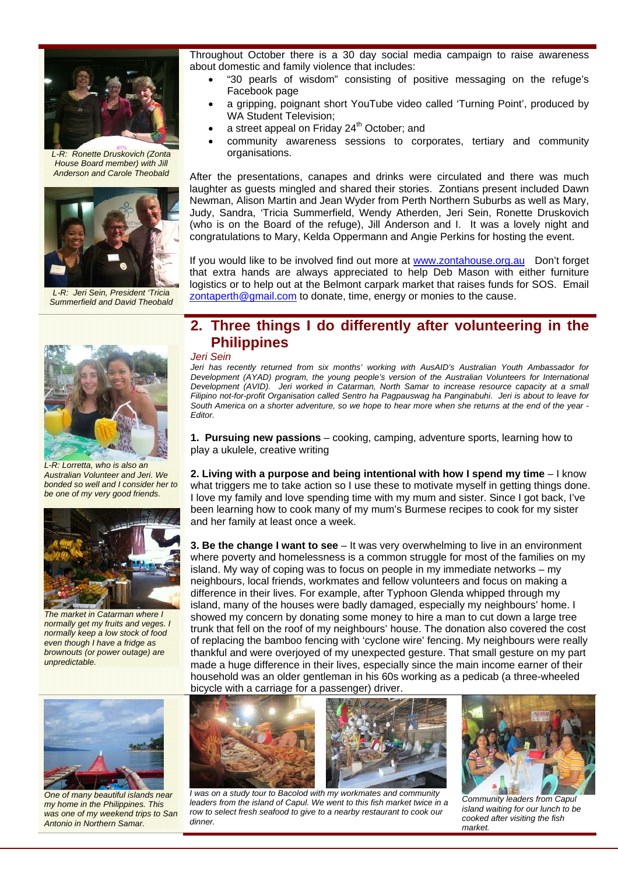

*L-R: Ronette Druskovich (Zonta House Board member) with Jill Anderson and Carole Theobald* 



*L-R: Jeri Sein, President 'Tricia Summerfield and David Theobald* 



*L-R: Lorretta, who is also an Australian Volunteer and Jeri. We bonded so well and I consider her to be one of my very good friends.* 



*The market in Catarman where I normally get my fruits and veges. I normally keep a low stock of food even though I have a fridge as brownouts (or power outage) are unpredictable.* 



*One of many beautiful islands near my home in the Philippines. This was one of my weekend trips to San Antonio in Northern Samar.* 

Throughout October there is a 30 day social media campaign to raise awareness about domestic and family violence that includes:

- "30 pearls of wisdom" consisting of positive messaging on the refuge's Facebook page
- a gripping, poignant short YouTube video called 'Turning Point', produced by WA Student Television;
- a street appeal on Friday 24<sup>th</sup> October; and
- community awareness sessions to corporates, tertiary and community organisations.

After the presentations, canapes and drinks were circulated and there was much laughter as guests mingled and shared their stories. Zontians present included Dawn Newman, Alison Martin and Jean Wyder from Perth Northern Suburbs as well as Mary, Judy, Sandra, 'Tricia Summerfield, Wendy Atherden, Jeri Sein, Ronette Druskovich (who is on the Board of the refuge), Jill Anderson and I. It was a lovely night and congratulations to Mary, Kelda Oppermann and Angie Perkins for hosting the event.

If you would like to be involved find out more at www.zontahouse.org.au Don't forget that extra hands are always appreciated to help Deb Mason with either furniture logistics or to help out at the Belmont carpark market that raises funds for SOS. Email zontaperth@gmail.com to donate, time, energy or monies to the cause.

# **2. Three things I do differently after volunteering in the Philippines**

*Jeri Sein* 

*Jeri has recently returned from six months' working with AusAID's Australian Youth Ambassador for Development (AYAD) program, the young people's version of the Australian Volunteers for International Development (AVID). Jeri worked in Catarman, North Samar to increase resource capacity at a small Filipino not-for-profit Organisation called Sentro ha Pagpauswag ha Panginabuhi. Jeri is about to leave for South America on a shorter adventure, so we hope to hear more when she returns at the end of the year - Editor.* 

**1. Pursuing new passions** – cooking, camping, adventure sports, learning how to play a ukulele, creative writing

**2. Living with a purpose and being intentional with how I spend my time** – I know what triggers me to take action so I use these to motivate myself in getting things done. I love my family and love spending time with my mum and sister. Since I got back, I've been learning how to cook many of my mum's Burmese recipes to cook for my sister and her family at least once a week.

**3. Be the change I want to see** – It was very overwhelming to live in an environment where poverty and homelessness is a common struggle for most of the families on my island. My way of coping was to focus on people in my immediate networks – my neighbours, local friends, workmates and fellow volunteers and focus on making a difference in their lives. For example, after Typhoon Glenda whipped through my island, many of the houses were badly damaged, especially my neighbours' home. I showed my concern by donating some money to hire a man to cut down a large tree trunk that fell on the roof of my neighbours' house. The donation also covered the cost of replacing the bamboo fencing with 'cyclone wire' fencing. My neighbours were really thankful and were overjoyed of my unexpected gesture. That small gesture on my part made a huge difference in their lives, especially since the main income earner of their household was an older gentleman in his 60s working as a pedicab (a three-wheeled bicycle with a carriage for a passenger) driver.



 *I was on a study tour to Bacolod with my workmates and community*  leaders from the island of Capul. We went to this fish market twice in a *row to select fresh seafood to give to a nearby restaurant to cook our dinner.*



*Community leaders from Capul island waiting for our lunch to be cooked after visiting the fish market.*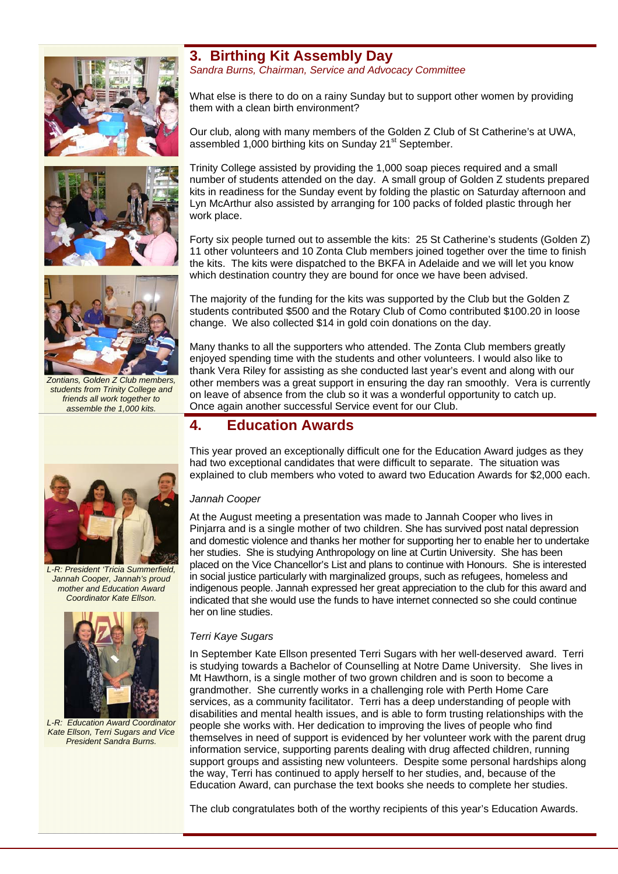





*Zontians, Golden Z Club members, students from Trinity College and friends all work together to assemble the 1,000 kits.* 

# **3. Birthing Kit Assembly Day**

*Sandra Burns, Chairman, Service and Advocacy Committee* 

What else is there to do on a rainy Sunday but to support other women by providing them with a clean birth environment?

Our club, along with many members of the Golden Z Club of St Catherine's at UWA, assembled 1,000 birthing kits on Sunday 21<sup>st</sup> September.

Trinity College assisted by providing the 1,000 soap pieces required and a small number of students attended on the day. A small group of Golden Z students prepared kits in readiness for the Sunday event by folding the plastic on Saturday afternoon and Lyn McArthur also assisted by arranging for 100 packs of folded plastic through her work place.

Forty six people turned out to assemble the kits: 25 St Catherine's students (Golden Z) 11 other volunteers and 10 Zonta Club members joined together over the time to finish the kits. The kits were dispatched to the BKFA in Adelaide and we will let you know which destination country they are bound for once we have been advised.

The majority of the funding for the kits was supported by the Club but the Golden Z students contributed \$500 and the Rotary Club of Como contributed \$100.20 in loose change. We also collected \$14 in gold coin donations on the day.

Many thanks to all the supporters who attended. The Zonta Club members greatly enjoyed spending time with the students and other volunteers. I would also like to thank Vera Riley for assisting as she conducted last year's event and along with our other members was a great support in ensuring the day ran smoothly. Vera is currently on leave of absence from the club so it was a wonderful opportunity to catch up. Once again another successful Service event for our Club.

# **4. Education Awards**

This year proved an exceptionally difficult one for the Education Award judges as they had two exceptional candidates that were difficult to separate. The situation was explained to club members who voted to award two Education Awards for \$2,000 each.

### *Jannah Cooper*

At the August meeting a presentation was made to Jannah Cooper who lives in Pinjarra and is a single mother of two children. She has survived post natal depression and domestic violence and thanks her mother for supporting her to enable her to undertake her studies. She is studying Anthropology on line at Curtin University. She has been placed on the Vice Chancellor's List and plans to continue with Honours. She is interested in social justice particularly with marginalized groups, such as refugees, homeless and indigenous people. Jannah expressed her great appreciation to the club for this award and indicated that she would use the funds to have internet connected so she could continue her on line studies.

### *Terri Kaye Sugars*

In September Kate Ellson presented Terri Sugars with her well-deserved award. Terri is studying towards a Bachelor of Counselling at Notre Dame University. She lives in Mt Hawthorn, is a single mother of two grown children and is soon to become a grandmother. She currently works in a challenging role with Perth Home Care services, as a community facilitator. Terri has a deep understanding of people with disabilities and mental health issues, and is able to form trusting relationships with the people she works with. Her dedication to improving the lives of people who find themselves in need of support is evidenced by her volunteer work with the parent drug information service, supporting parents dealing with drug affected children, running support groups and assisting new volunteers. Despite some personal hardships along the way, Terri has continued to apply herself to her studies, and, because of the Education Award, can purchase the text books she needs to complete her studies.

The club congratulates both of the worthy recipients of this year's Education Awards.



*L-R: President 'Tricia Summerfield, Jannah Cooper, Jannah's proud mother and Education Award Coordinator Kate Ellson.* 



*L-R: Education Award Coordinator Kate Ellson, Terri Sugars and Vice President Sandra Burns.*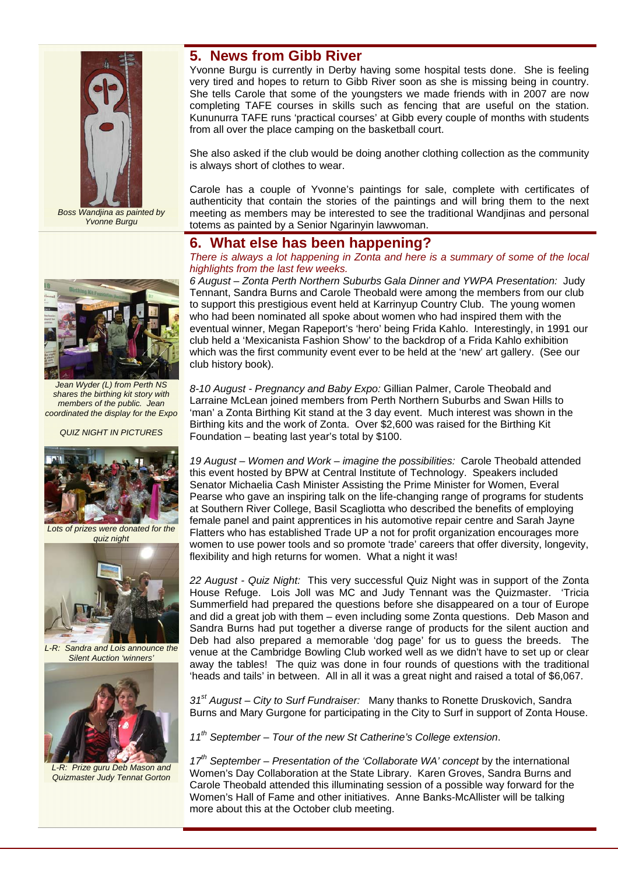

*Boss Wandjina as painted by Yvonne Burgu* 



*Jean Wyder (L) from Perth NS shares the birthing kit story with members of the public. Jean coordinated the display for the Expo* 

*QUIZ NIGHT IN PICTURES* 



*Lots of prizes were donated for the quiz night* 



*L-R: Sandra and Lois announce the Silent Auction 'winners'* 



*L-R: Prize guru Deb Mason and Quizmaster Judy Tennat Gorton* 

# **5. News from Gibb River**

Yvonne Burgu is currently in Derby having some hospital tests done. She is feeling very tired and hopes to return to Gibb River soon as she is missing being in country. She tells Carole that some of the youngsters we made friends with in 2007 are now completing TAFE courses in skills such as fencing that are useful on the station. Kununurra TAFE runs 'practical courses' at Gibb every couple of months with students from all over the place camping on the basketball court.

She also asked if the club would be doing another clothing collection as the community is always short of clothes to wear.

Carole has a couple of Yvonne's paintings for sale, complete with certificates of authenticity that contain the stories of the paintings and will bring them to the next meeting as members may be interested to see the traditional Wandjinas and personal totems as painted by a Senior Ngarinyin lawwoman.

## **6. What else has been happening?**

*There is always a lot happening in Zonta and here is a summary of some of the local highlights from the last few weeks.* 

*6 August – Zonta Perth Northern Suburbs Gala Dinner and YWPA Presentation:* Judy Tennant, Sandra Burns and Carole Theobald were among the members from our club to support this prestigious event held at Karrinyup Country Club. The young women who had been nominated all spoke about women who had inspired them with the eventual winner, Megan Rapeport's 'hero' being Frida Kahlo. Interestingly, in 1991 our club held a 'Mexicanista Fashion Show' to the backdrop of a Frida Kahlo exhibition which was the first community event ever to be held at the 'new' art gallery. (See our club history book).

*8-10 August - Pregnancy and Baby Expo:* Gillian Palmer, Carole Theobald and Larraine McLean joined members from Perth Northern Suburbs and Swan Hills to 'man' a Zonta Birthing Kit stand at the 3 day event. Much interest was shown in the Birthing kits and the work of Zonta. Over \$2,600 was raised for the Birthing Kit Foundation – beating last year's total by \$100.

*19 August – Women and Work – imagine the possibilities:* Carole Theobald attended this event hosted by BPW at Central Institute of Technology. Speakers included Senator Michaelia Cash Minister Assisting the Prime Minister for Women, Everal Pearse who gave an inspiring talk on the life-changing range of programs for students at Southern River College, Basil Scagliotta who described the benefits of employing female panel and paint apprentices in his automotive repair centre and Sarah Jayne Flatters who has established Trade UP a not for profit organization encourages more women to use power tools and so promote 'trade' careers that offer diversity, longevity, flexibility and high returns for women. What a night it was!

*22 August - Quiz Night:* This very successful Quiz Night was in support of the Zonta House Refuge. Lois Joll was MC and Judy Tennant was the Quizmaster. 'Tricia Summerfield had prepared the questions before she disappeared on a tour of Europe and did a great job with them – even including some Zonta questions. Deb Mason and Sandra Burns had put together a diverse range of products for the silent auction and Deb had also prepared a memorable 'dog page' for us to guess the breeds. The venue at the Cambridge Bowling Club worked well as we didn't have to set up or clear away the tables! The quiz was done in four rounds of questions with the traditional 'heads and tails' in between. All in all it was a great night and raised a total of \$6,067.

*31st August – City to Surf Fundraiser:* Many thanks to Ronette Druskovich, Sandra Burns and Mary Gurgone for participating in the City to Surf in support of Zonta House.

*11th September – Tour of the new St Catherine's College extension*.

*17th September – Presentation of the 'Collaborate WA' concept* by the international Women's Day Collaboration at the State Library. Karen Groves, Sandra Burns and Carole Theobald attended this illuminating session of a possible way forward for the Women's Hall of Fame and other initiatives. Anne Banks-McAllister will be talking more about this at the October club meeting.